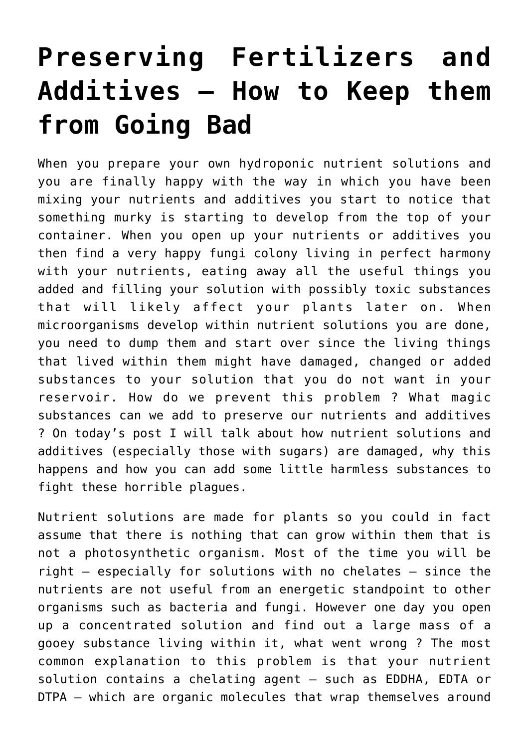## **[Preserving Fertilizers and](https://scienceinhydroponics.com/2010/09/preserving-fertilizers-and-additives-how-to-prevent-things-from-going-bad.html) [Additives – How to Keep them](https://scienceinhydroponics.com/2010/09/preserving-fertilizers-and-additives-how-to-prevent-things-from-going-bad.html) [from Going Bad](https://scienceinhydroponics.com/2010/09/preserving-fertilizers-and-additives-how-to-prevent-things-from-going-bad.html)**

When you prepare your own hydroponic nutrient solutions and you are finally happy with the way in which you have been mixing your nutrients and additives you start to notice that something murky is starting to develop from the top of your container. When you open up your nutrients or additives you then find a very happy fungi colony living in perfect harmony with your nutrients, eating away all the useful things you added and filling your solution with possibly toxic substances that will likely affect your plants later on. When microorganisms develop within nutrient solutions you are done, you need to dump them and start over since the living things that lived within them might have damaged, changed or added substances to your solution that you do not want in your reservoir. How do we prevent this problem ? What magic substances can we add to preserve our nutrients and additives ? On today's post I will talk about how nutrient solutions and additives (especially those with sugars) are damaged, why this happens and how you can add some little harmless substances to fight these horrible plagues.

Nutrient solutions are made for plants so you could in fact assume that there is nothing that can grow within them that is not a photosynthetic organism. Most of the time you will be right – especially for solutions with no chelates – since the nutrients are not useful from an energetic standpoint to other organisms such as bacteria and fungi. However one day you open up a concentrated solution and find out a large mass of a gooey substance living within it, what went wrong ? The most common explanation to this problem is that your nutrient solution contains a chelating agent – such as EDDHA, EDTA or DTPA – which are organic molecules that wrap themselves around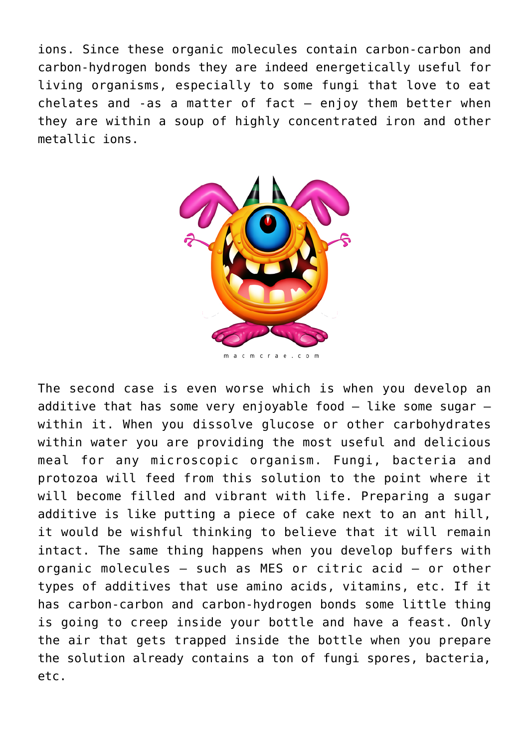ions. Since these organic molecules contain carbon-carbon and carbon-hydrogen bonds they are indeed energetically useful for living organisms, especially to some fungi that love to eat chelates and -as a matter of fact  $-$  enjoy them better when they are within a soup of highly concentrated iron and other metallic ions.



acm crae.co

The second case is even worse which is when you develop an additive that has some very enjovable food  $-$  like some sugar  $$ within it. When you dissolve glucose or other carbohydrates within water you are providing the most useful and delicious meal for any microscopic organism. Fungi, bacteria and protozoa will feed from this solution to the point where it will become filled and vibrant with life. Preparing a sugar additive is like putting a piece of cake next to an ant hill, it would be wishful thinking to believe that it will remain intact. The same thing happens when you develop buffers with organic molecules – such as MES or citric acid – or other types of additives that use amino acids, vitamins, etc. If it has carbon-carbon and carbon-hydrogen bonds some little thing is going to creep inside your bottle and have a feast. Only the air that gets trapped inside the bottle when you prepare the solution already contains a ton of fungi spores, bacteria, etc.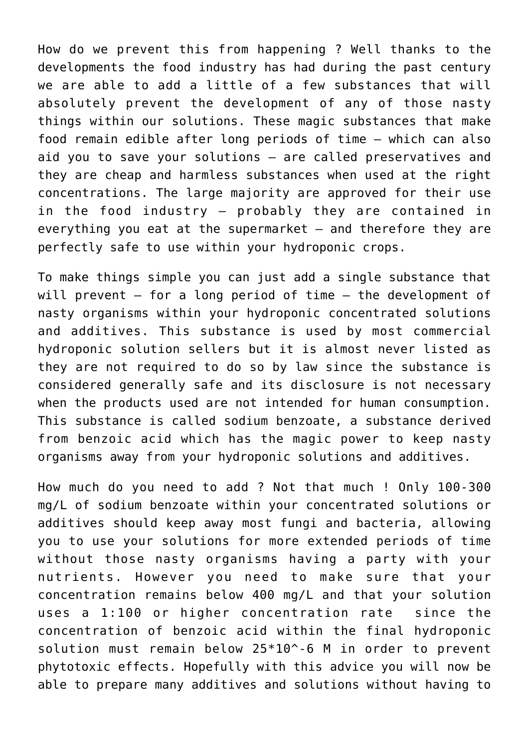How do we prevent this from happening ? Well thanks to the developments the food industry has had during the past century we are able to add a little of a few substances that will absolutely prevent the development of any of those nasty things within our solutions. These magic substances that make food remain edible after long periods of time – which can also aid you to save your solutions – are called preservatives and they are cheap and harmless substances when used at the right concentrations. The large majority are approved for their use in the food industry – probably they are contained in everything you eat at the supermarket  $-$  and therefore they are perfectly safe to use within your hydroponic crops.

To make things simple you can just add a single substance that will prevent – for a long period of time – the development of nasty organisms within your hydroponic concentrated solutions and additives. This substance is used by most commercial hydroponic solution sellers but it is almost never listed as they are not required to do so by law since the substance is considered generally safe and its disclosure is not necessary when the products used are not intended for human consumption. This substance is called sodium benzoate, a substance derived from benzoic acid which has the magic power to keep nasty organisms away from your hydroponic solutions and additives.

How much do you need to add ? Not that much ! Only 100-300 mg/L of sodium benzoate within your concentrated solutions or additives should keep away most fungi and bacteria, allowing you to use your solutions for more extended periods of time without those nasty organisms having a party with your nutrients. However you need to make sure that your concentration remains below 400 mg/L and that your solution uses a 1:100 or higher concentration rate since the concentration of benzoic acid within the final hydroponic solution must remain below 25\*10^-6 M in order to prevent phytotoxic effects. Hopefully with this advice you will now be able to prepare many additives and solutions without having to